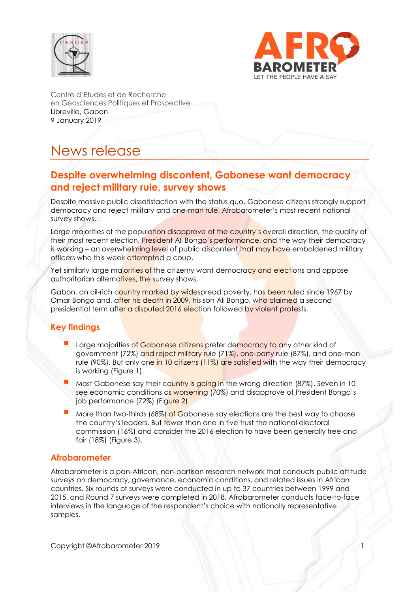



Centre d'Etudes et de Recherche en Géosciences Politiques et Prospective Libreville, Gabon 9 January 2019

# News release

# **Despite overwhelming discontent, Gabonese want democracy and reject military rule, survey shows**

Despite massive public dissatisfaction with the status quo, Gabonese citizens strongly support democracy and reject military and one-man rule, Afrobarometer's most recent national survey shows.

Large majorities of the population disapprove of the country's overall direction, the quality of their most recent election, President Ali Bongo's performance, and the way their democracy is working – an overwhelming level of public discontent that may have emboldened military officers who this week attempted a coup.

Yet similarly large majorities of the citizenry want democracy and elections and oppose authoritarian alternatives, the survey shows.

Gabon, an oil-rich country marked by widespread poverty, has been ruled since 1967 by Omar Bongo and, after his death in 2009, his son Ali Bongo, who claimed a second presidential term after a disputed 2016 election followed by violent protests.

# **Key findings**

- Large majorities of Gabonese citizens prefer democracy to any other kind of government (72%) and reject military rule (71%), one-party rule (87%), and one-man rule (90%). But only one in 10 citizens (11%) are satisfied with the way their democracy is working (Figure 1).
- Most Gabonese say their country is going in the wrong direction (87%). Seven in 10 see economic conditions as worsening (70%) and disapprove of President Bongo's job performance (72%) (Figure 2).
- More than two-thirds (68%) of Gabonese say elections are the best way to choose the country's leaders. But fewer than one in five trust the national electoral commission (16%) and consider the 2016 election to have been generally free and fair (18%) (Figure 3).

### **Afrobarometer**

Afrobarometer is a pan-African, non-partisan research network that conducts public attitude surveys on democracy, governance, economic conditions, and related issues in African countries. Six rounds of surveys were conducted in up to 37 countries between 1999 and 2015, and Round 7 surveys were completed in 2018. Afrobarometer conducts face-to-face interviews in the language of the respondent's choice with nationally representative samples.

Copyright ©Afrobarometer 2019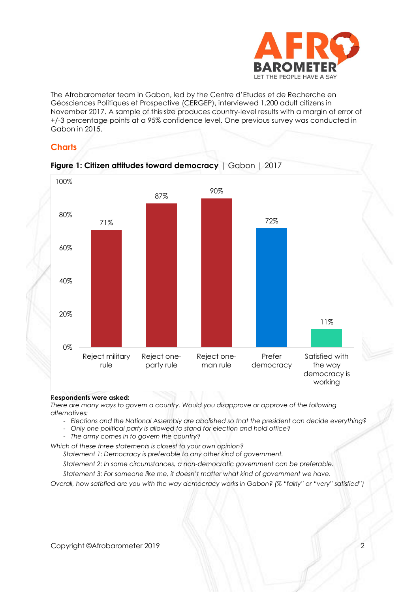

The Afrobarometer team in Gabon, led by the Centre d'Etudes et de Recherche en Géosciences Politiques et Prospective (CERGEP), interviewed 1,200 adult citizens in November 2017. A sample of this size produces country-level results with a margin of error of +/-3 percentage points at a 95% confidence level. One previous survey was conducted in Gabon in 2015.

# **Charts**



#### R**espondents were asked:**

*There are many ways to govern a country. Would you disapprove or approve of the following alternatives:* 

- *Elections and the National Assembly are abolished so that the president can decide everything?*
- *Only one political party is allowed to stand for election and hold office?*
- *The army comes in to govern the country?*

*Which of these three statements is closest to your own opinion?* 

*Statement 1: Democracy is preferable to any other kind of government.*

*Statement 2: In some circumstances, a non-democratic government can be preferable.*

*Statement 3: For someone like me, it doesn't matter what kind of government we have.*

*Overall, how satisfied are you with the way democracy works in Gabon? (% "fairly" or "very" satisfied")*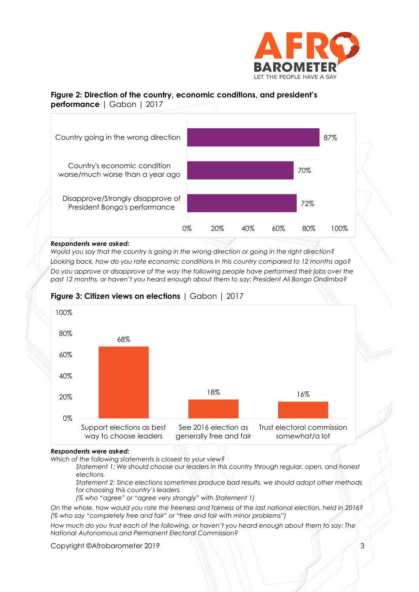

#### **Figure 2: Direction of the country, economic conditions, and president's performance** | Gabon | 2017



#### *Respondents were asked:*

*Would you say that the country is going in the wrong direction or going in the right direction? Looking back, how do you rate economic conditions in this country compared to 12 months ago? Do you approve or disapprove of the way the following people have performed their jobs over the past 12 months, or haven't you heard enough about them to say: President Ali Bongo Ondimba?*



#### **Figure 3: Citizen views on elections** | Gabon | 2017

#### *Respondents were asked:*

*Which of the following statements is closest to your view?* 

*Statement 1: We should choose our leaders in this country through regular, open, and honest elections.*

*Statement 2: Since elections sometimes produce bad results, we should adopt other methods for choosing this country's leaders.*

*(% who "agree" or "agree very strongly" with Statement 1)*

*On the whole, how would you rate the freeness and fairness of the last national election, held in 2016? (% who say "completely free and fair" or "free and fair with minor problems")*

*How much do you trust each of the following, or haven't you heard enough about them to say: The National Autonomous and Permanent Electoral Commission?*

Copyright ©Afrobarometer 2019 3